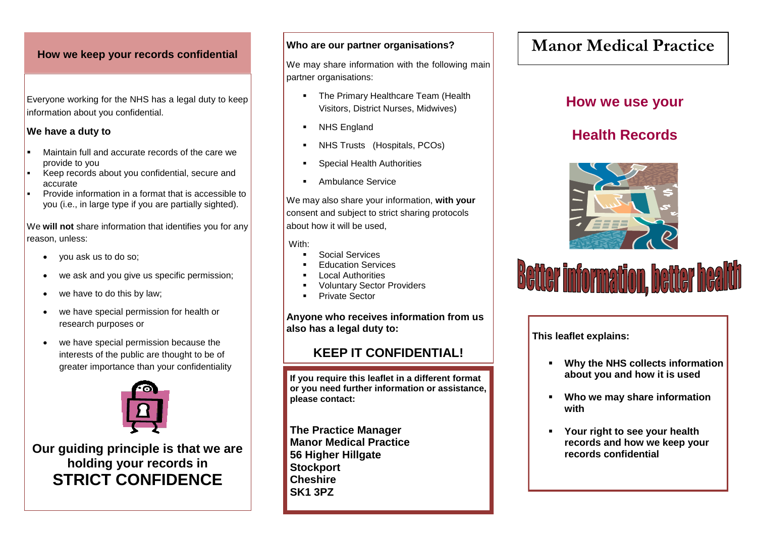### **How we keep your records confidential**

Everyone working for the NHS has a legal duty to keep information about you confidential.

### **We have a duty to**

- Maintain full and accurate records of the care we provide to you
- Keep records about you confidential, secure and accurate
- Provide information in a format that is accessible to you (i.e., in large type if you are partially sighted).

We **will not** share information that identifies you for any reason, unless:

- vou ask us to do so:
- we ask and you give us specific permission:
- we have to do this by law;
- we have special permission for health or research purposes or
- we have special permission because the interests of the public are thought to be of greater importance than your confidentiality



**Our guiding principle is that we are holding your records in STRICT CONFIDENCE**

### **Who are our partner organisations?**

We may share information with the following main partner organisations:

- The Primary Healthcare Team (Health Visitors, District Nurses, Midwives)
- NHS England
- NHS Trusts (Hospitals, PCOs)
- Special Health Authorities
- Ambulance Service

We may also share your information, **with your** consent and subject to strict sharing protocols about how it will be used,

With:

- Social Services
- Education Services
- Local Authorities
- Voluntary Sector Providers
- Private Sector

**Anyone who receives information from us also has a legal duty to:**

### **KEEP IT CONFIDENTIAL!**

**If you require this leaflet in a different format or you need further information or assistance, please contact:** 

**The Practice Manager Manor Medical Practice 56 Higher Hillgate Stockport Cheshire SK1 3PZ**

# **Manor Medical Practice**

## **How we use your**

# **Health Records**



# **Better information, better health**

**This leaflet explains:**

- **Why the NHS collects information about you and how it is used**
- **Who we may share information with**
- **Your right to see your health records and how we keep your records confidential**